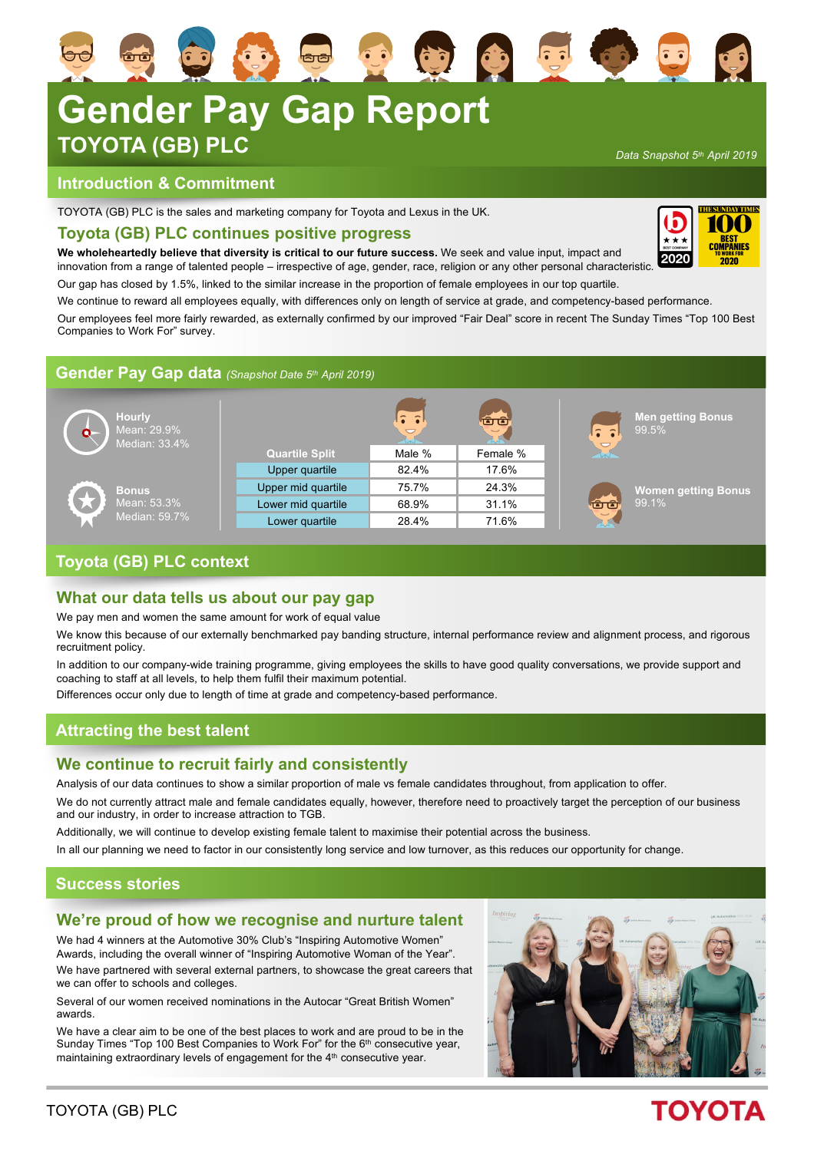# **Gender Pay Gap Report TOYOTA (GB) PLC**

*Data Snapshot 5th April 2019*

2020

**O T O** 

# **Introduction & Commitment**

TOYOTA (GB) PLC is the sales and marketing company for Toyota and Lexus in the UK.

#### **Toyota (GB) PLC continues positive progress**

**We wholeheartedly believe that diversity is critical to our future success.** We seek and value input, impact and innovation from a range of talented people – irrespective of age, gender, race, religion or any other personal characteristic.

Our gap has closed by 1.5%, linked to the similar increase in the proportion of female employees in our top quartile.

We continue to reward all employees equally, with differences only on length of service at grade, and competency-based performance.

Our employees feel more fairly rewarded, as externally confirmed by our improved "Fair Deal" score in recent The Sunday Times "Top 100 Best Companies to Work For" survey.

#### **Gender Pay Gap data** *(Snapshot Date 5th April 2019)*



# **Toyota (GB) PLC context**

## **What our data tells us about our pay gap**

We pay men and women the same amount for work of equal value

We know this because of our externally benchmarked pay banding structure, internal performance review and alignment process, and rigorous recruitment policy.

In addition to our company-wide training programme, giving employees the skills to have good quality conversations, we provide support and coaching to staff at all levels, to help them fulfil their maximum potential.

Differences occur only due to length of time at grade and competency-based performance.

# **Attracting the best talent**

#### **We continue to recruit fairly and consistently**

Analysis of our data continues to show a similar proportion of male vs female candidates throughout, from application to offer.

We do not currently attract male and female candidates equally, however, therefore need to proactively target the perception of our business and our industry, in order to increase attraction to TGB.

Additionally, we will continue to develop existing female talent to maximise their potential across the business.

In all our planning we need to factor in our consistently long service and low turnover, as this reduces our opportunity for change.

#### **Success stories**

#### **We're proud of how we recognise and nurture talent**

We had 4 winners at the Automotive 30% Club's "Inspiring Automotive Women" Awards, including the overall winner of "Inspiring Automotive Woman of the Year". We have partnered with several external partners, to showcase the great careers that we can offer to schools and colleges.

Several of our women received nominations in the Autocar "Great British Women" awards.

We have a clear aim to be one of the best places to work and are proud to be in the Sunday Times "Top 100 Best Companies to Work For" for the 6<sup>th</sup> consecutive year. maintaining extraordinary levels of engagement for the 4th consecutive year.





THE SHADAVILLES

**BEST**<br>COMPANIES

 $2020$ 

**TOYOTA**